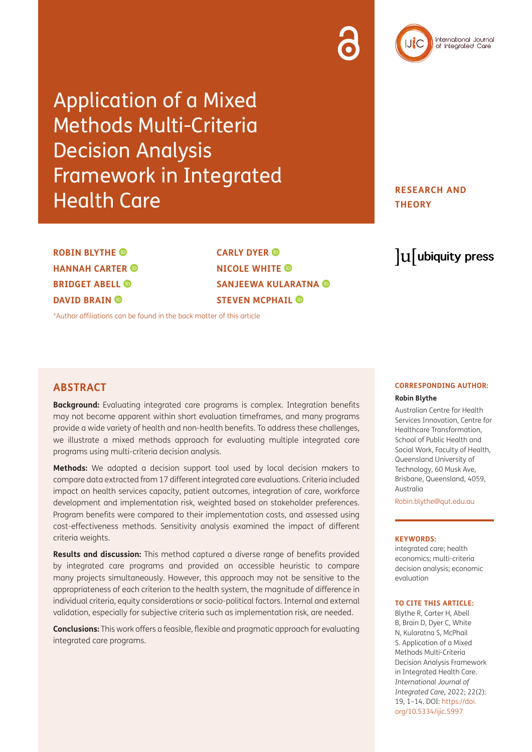# Application of a Mixed Methods Multi-Criteria Decision Analysis Framework in Integrated Health Care

**RESEARCH AND THEORY**

**ROBIN BLYTHE HANNAH CARTER BRIDGET ABELL DAVID BRAIN** 

**CARLY DYER NICOLE WHITE SANJEEWA KULARATNA STEVEN MCPHAIL ©** 

[\\*Author affiliations can be found in the back matter of this article](#page-11-0)

## **ABSTRACT**

**Background:** Evaluating integrated care programs is complex. Integration benefits may not become apparent within short evaluation timeframes, and many programs provide a wide variety of health and non-health benefits. To address these challenges, we illustrate a mixed methods approach for evaluating multiple integrated care programs using multi-criteria decision analysis.

**Methods:** We adapted a decision support tool used by local decision makers to compare data extracted from 17 different integrated care evaluations. Criteria included impact on health services capacity, patient outcomes, integration of care, workforce development and implementation risk, weighted based on stakeholder preferences. Program benefits were compared to their implementation costs, and assessed using cost-effectiveness methods. Sensitivity analysis examined the impact of different criteria weights.

**Results and discussion:** This method captured a diverse range of benefits provided by integrated care programs and provided an accessible heuristic to compare many projects simultaneously. However, this approach may not be sensitive to the appropriateness of each criterion to the health system, the magnitude of difference in individual criteria, equity considerations or socio-political factors. Internal and external validation, especially for subjective criteria such as implementation risk, are needed.

**Conclusions:** This work offers a feasible, flexible and pragmatic approach for evaluating integrated care programs.

## $\mathrm{u}$  ubiquity press

## **CORRESPONDING AUTHOR: Robin Blythe**

Australian Centre for Health Services Innovation, Centre for Healthcare Transformation, School of Public Health and Social Work, Faculty of Health, Queensland University of Technology, 60 Musk Ave, Brisbane, Queensland, 4059, Australia

[Robin.blythe@qut.edu.au](mailto:Robin.blythe@qut.edu.au)

#### **KEYWORDS:**

integrated care; health economics; multi-criteria decision analysis; economic evaluation

#### **TO CITE THIS ARTICLE:**

Blythe R, Carter H, Abell B, Brain D, Dyer C, White N, Kularatna S, McPhail S. Application of a Mixed Methods Multi-Criteria Decision Analysis Framework in Integrated Health Care. *International Journal of Integrated Care,* 2022; 22(2): 19, 1–14. DOI: [https://doi.](https://doi.org/10.5334/ijic.5997) [org/10.5334/ijic.5997](https://doi.org/10.5334/ijic.5997)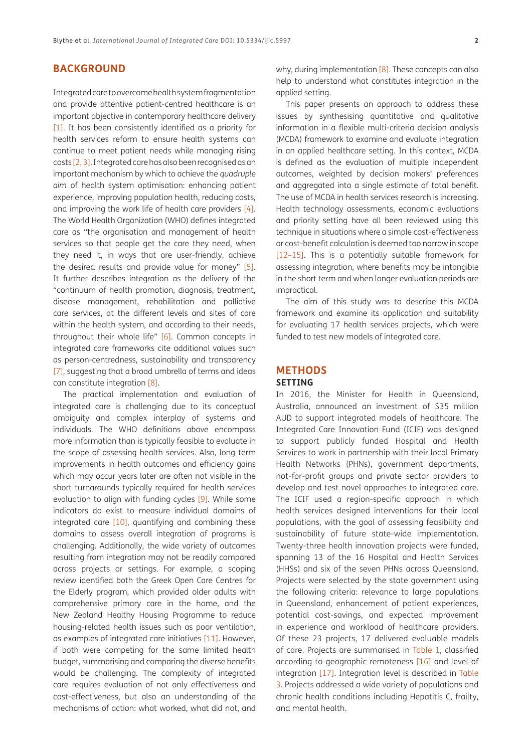## **BACKGROUND**

Integrated care to overcome health system fragmentation and provide attentive patient-centred healthcare is an important objective in contemporary healthcare delivery [\[1\]](#page-11-1). It has been consistently identified as a priority for health services reform to ensure health systems can continue to meet patient needs while managing rising costs [\[2,](#page-11-2) [3](#page-11-3)]. Integrated care has also been recognised as an important mechanism by which to achieve the *quadruple aim* of health system optimisation: enhancing patient experience, improving population health, reducing costs, and improving the work life of health care providers [[4](#page-11-4)]. The World Health Organization (WHO) defines integrated care as "the organisation and management of health services so that people get the care they need, when they need it, in ways that are user-friendly, achieve the desired results and provide value for money" [[5](#page-11-5)]. It further describes integration as the delivery of the "continuum of health promotion, diagnosis, treatment, disease management, rehabilitation and palliative care services, at the different levels and sites of care within the health system, and according to their needs, throughout their whole life" [\[6](#page-11-6)]. Common concepts in integrated care frameworks cite additional values such as person-centredness, sustainability and transparency [\[7\]](#page-11-7), suggesting that a broad umbrella of terms and ideas can constitute integration [\[8\]](#page-11-8).

The practical implementation and evaluation of integrated care is challenging due to its conceptual ambiguity and complex interplay of systems and individuals. The WHO definitions above encompass more information than is typically feasible to evaluate in the scope of assessing health services. Also, long term improvements in health outcomes and efficiency gains which may occur years later are often not visible in the short turnarounds typically required for health services evaluation to align with funding cycles [\[9\]](#page-12-0). While some indicators do exist to measure individual domains of integrated care [\[10\]](#page-12-1), quantifying and combining these domains to assess overall integration of programs is challenging. Additionally, the wide variety of outcomes resulting from integration may not be readily compared across projects or settings. For example, a scoping review identified both the Greek Open Care Centres for the Elderly program, which provided older adults with comprehensive primary care in the home, and the New Zealand Healthy Housing Programme to reduce housing-related health issues such as poor ventilation, as examples of integrated care initiatives [[11](#page-12-2)]. However, if both were competing for the same limited health budget, summarising and comparing the diverse benefits would be challenging. The complexity of integrated care requires evaluation of not only effectiveness and cost-effectiveness, but also an understanding of the mechanisms of action: what worked, what did not, and why, during implementation [\[8](#page-11-8)]. These concepts can also help to understand what constitutes integration in the applied setting.

This paper presents an approach to address these issues by synthesising quantitative and qualitative information in a flexible multi-criteria decision analysis (MCDA) framework to examine and evaluate integration in an applied healthcare setting. In this context, MCDA is defined as the evaluation of multiple independent outcomes, weighted by decision makers' preferences and aggregated into a single estimate of total benefit. The use of MCDA in health services research is increasing. Health technology assessments, economic evaluations and priority setting have all been reviewed using this technique in situations where a simple cost-effectiveness or cost-benefit calculation is deemed too narrow in scope [[12–15](#page-12-3)]. This is a potentially suitable framework for assessing integration, where benefits may be intangible in the short term and when longer evaluation periods are impractical.

The aim of this study was to describe this MCDA framework and examine its application and suitability for evaluating 17 health services projects, which were funded to test new models of integrated care.

## **METHODS SETTING**

In 2016, the Minister for Health in Queensland, Australia, announced an investment of \$35 million AUD to support integrated models of healthcare. The Integrated Care Innovation Fund (ICIF) was designed to support publicly funded Hospital and Health Services to work in partnership with their local Primary Health Networks (PHNs), government departments, not-for-profit groups and private sector providers to develop and test novel approaches to integrated care. The ICIF used a region-specific approach in which health services designed interventions for their local populations, with the goal of assessing feasibility and sustainability of future state-wide implementation. Twenty-three health innovation projects were funded, spanning 13 of the 16 Hospital and Health Services (HHSs) and six of the seven PHNs across Queensland. Projects were selected by the state government using the following criteria: relevance to large populations in Queensland, enhancement of patient experiences, potential cost-savings, and expected improvement in experience and workload of healthcare providers. Of these 23 projects, 17 delivered evaluable models of care. Projects are summarised in [Table 1](#page-3-0), classified according to geographic remoteness [[16\]](#page-12-4) and level of integration [\[17](#page-12-5)]. Integration level is described in [Table](#page-5-0)  [3](#page-5-0). Projects addressed a wide variety of populations and chronic health conditions including Hepatitis C, frailty, and mental health.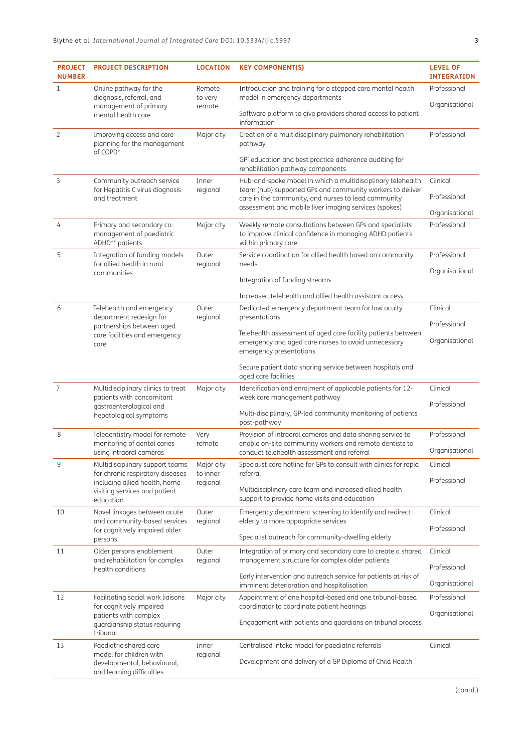| <b>PROJECT</b><br><b>NUMBER</b>                                      | <b>PROJECT DESCRIPTION</b>                                                                                         | <b>LOCATION</b>        | <b>KEY COMPONENT(S)</b>                                                                                                                        | <b>LEVEL OF</b><br><b>INTEGRATION</b> |
|----------------------------------------------------------------------|--------------------------------------------------------------------------------------------------------------------|------------------------|------------------------------------------------------------------------------------------------------------------------------------------------|---------------------------------------|
| $\mathbf{1}$                                                         | Online pathway for the<br>diagnosis, referral, and                                                                 | Remote<br>to very      | Introduction and training for a stepped care mental health<br>model in emergency departments                                                   | Professional                          |
|                                                                      | management of primary<br>remote<br>mental health care                                                              |                        | Software platform to give providers shared access to patient<br>information                                                                    | Organisational                        |
| 2                                                                    | Improving access and care<br>planning for the management<br>of COPD*                                               | Major city             | Creation of a multidisciplinary pulmonary rehabilitation<br>pathway                                                                            | Professional                          |
|                                                                      |                                                                                                                    |                        | GP <sup>+</sup> education and best practice adherence auditing for<br>rehabilitation pathway components                                        |                                       |
| 3                                                                    | Community outreach service<br>for Hepatitis C virus diagnosis                                                      | Inner<br>regional      | Hub-and-spoke model in which a multidisciplinary telehealth<br>team (hub) supported GPs and community workers to deliver                       | Clinical                              |
|                                                                      | and treatment                                                                                                      |                        | care in the community, and nurses to lead community                                                                                            | Professional                          |
|                                                                      |                                                                                                                    |                        | assessment and mobile liver imaging services (spokes)                                                                                          | Organisational                        |
| 4                                                                    | Primary and secondary co-<br>management of paediatric<br>ADHD** patients                                           | Major city             | Weekly remote consultations between GPs and specialists<br>to improve clinical confidence in managing ADHD patients<br>within primary care     | Professional                          |
| 5                                                                    | Integration of funding models<br>for allied health in rural                                                        | Outer<br>regional      | Service coordination for allied health based on community<br>needs                                                                             | Professional                          |
|                                                                      | communities                                                                                                        |                        | Integration of funding streams                                                                                                                 | Organisational                        |
|                                                                      |                                                                                                                    |                        |                                                                                                                                                |                                       |
| 6                                                                    | Telehealth and emergency                                                                                           | Outer                  | Increased telehealth and allied health assistant access<br>Dedicated emergency department team for low acuity                                  | Clinical                              |
|                                                                      | department redesign for<br>partnerships between aged<br>care facilities and emergency<br>care                      | regional               | presentations                                                                                                                                  | Professional                          |
|                                                                      |                                                                                                                    |                        | Telehealth assessment of aged care facility patients between<br>emergency and aged care nurses to avoid unnecessary<br>emergency presentations | Organisational                        |
|                                                                      |                                                                                                                    |                        | Secure patient data sharing service between hospitals and<br>aged care facilities                                                              |                                       |
| 7<br>Multidisciplinary clinics to treat<br>patients with concomitant |                                                                                                                    | Major city             | Identification and enrolment of applicable patients for 12-<br>week care management pathway                                                    | Clinical<br>Professional              |
|                                                                      | gastroenterological and<br>hepatological symptoms                                                                  |                        | Multi-disciplinary, GP-led community monitoring of patients<br>post-pathway                                                                    |                                       |
| 8                                                                    | Teledentistry model for remote<br>monitoring of dental caries                                                      | Very<br>remote         | Provision of intraoral cameras and data sharing service to<br>enable on-site community workers and remote dentists to                          | Professional                          |
|                                                                      | using intraoral cameras                                                                                            |                        | conduct telehealth assessment and referral                                                                                                     | Organisational                        |
| 9                                                                    | Multidisciplinary support teams<br>for chronic respiratory diseases                                                | Major city<br>to inner | Specialist care hotline for GPs to consult with clinics for rapid<br>referral                                                                  | Clinical                              |
|                                                                      | including allied health, home<br>visiting services and patient<br>education                                        | regional               | Multidisciplinary care team and increased allied health<br>support to provide home visits and education                                        | Professional                          |
| 10                                                                   | Novel linkages between acute                                                                                       | Outer                  | Emergency department screening to identify and redirect                                                                                        | Clinical                              |
|                                                                      | and community-based services<br>for cognitively impaired older                                                     | regional               | elderly to more appropriate services                                                                                                           | Professional                          |
| 11                                                                   | persons<br>Older persons enablement                                                                                | Outer                  | Specialist outreach for community-dwelling elderly                                                                                             | Clinical                              |
|                                                                      | management structure for complex older patients<br>and rehabilitation for complex<br>regional<br>health conditions |                        | Integration of primary and secondary care to create a shared                                                                                   | Professional                          |
|                                                                      |                                                                                                                    |                        | Early intervention and outreach service for patients at risk of<br>imminent deterioration and hospitalisation                                  | Organisational                        |
| 12                                                                   | Facilitating social work liaisons                                                                                  | Major city             | Appointment of one hospital-based and one tribunal-based                                                                                       | Professional                          |
|                                                                      | for cognitively impaired<br>patients with complex                                                                  |                        | coordinator to coordinate patient hearings                                                                                                     | Organisational                        |
|                                                                      | guardianship status requiring<br>tribunal                                                                          |                        | Engagement with patients and guardians on tribunal process                                                                                     |                                       |
| 13                                                                   | Paediatric shared care<br>model for children with                                                                  | Inner<br>regional      | Centralised intake model for paediatric referrals                                                                                              | Clinical                              |
|                                                                      | developmental, behavioural,<br>and learning difficulties                                                           |                        | Development and delivery of a GP Diploma of Child Health                                                                                       |                                       |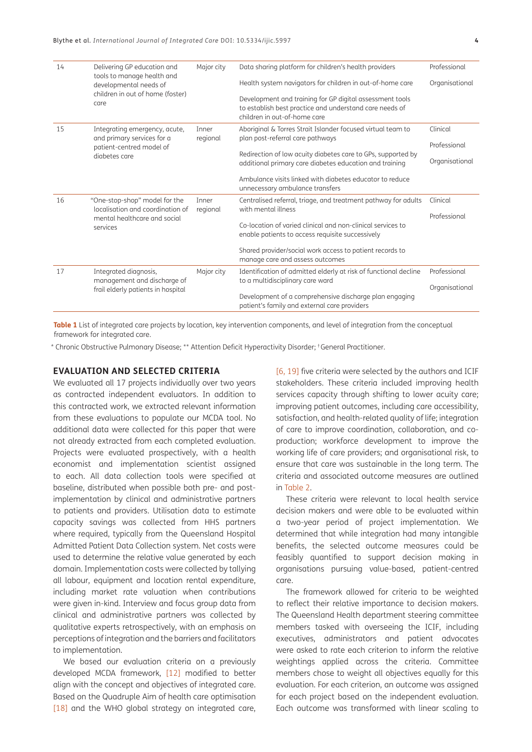| 14 | Delivering GP education and                                       | Major city | Data sharing platform for children's health providers                                                                                               | Professional   |
|----|-------------------------------------------------------------------|------------|-----------------------------------------------------------------------------------------------------------------------------------------------------|----------------|
|    | tools to manage health and<br>developmental needs of              |            | Health system navigators for children in out-of-home care                                                                                           | Organisational |
|    | children in out of home (foster)<br>care                          |            | Development and training for GP digital assessment tools<br>to establish best practice and understand care needs of<br>children in out-of-home care |                |
| 15 | Integrating emergency, acute,                                     | Inner      | Aboriginal & Torres Strait Islander focused virtual team to                                                                                         | Clinical       |
|    | and primary services for a<br>patient-centred model of            | regional   | plan post-referral care pathways                                                                                                                    | Professional   |
|    | diabetes care                                                     |            | Redirection of low acuity diabetes care to GPs, supported by<br>additional primary care diabetes education and training                             | Organisational |
|    |                                                                   |            | Ambulance visits linked with diabetes educator to reduce<br>unnecessary ambulance transfers                                                         |                |
| 16 | "One-stop-shop" model for the                                     | Inner      | Centralised referral, triage, and treatment pathway for adults                                                                                      | Clinical       |
|    | localisation and coordination of<br>mental healthcare and social  | regional   | with mental illness                                                                                                                                 | Professional   |
|    | services                                                          |            | Co-location of varied clinical and non-clinical services to<br>enable patients to access requisite successively                                     |                |
|    |                                                                   |            | Shared provider/social work access to patient records to<br>manage care and assess outcomes                                                         |                |
| 17 | Integrated diagnosis,                                             | Major city | Identification of admitted elderly at risk of functional decline                                                                                    | Professional   |
|    | management and discharge of<br>frail elderly patients in hospital |            | to a multidisciplinary care ward                                                                                                                    | Organisational |
|    |                                                                   |            | Development of a comprehensive discharge plan engaging<br>patient's family and external care providers                                              |                |

<span id="page-3-0"></span>**Table 1** List of integrated care projects by location, key intervention components, and level of integration from the conceptual framework for integrated care.

\* Chronic Obstructive Pulmonary Disease; \*\* Attention Deficit Hyperactivity Disorder; † General Practitioner.

## **EVALUATION AND SELECTED CRITERIA**

We evaluated all 17 projects individually over two years as contracted independent evaluators. In addition to this contracted work, we extracted relevant information from these evaluations to populate our MCDA tool. No additional data were collected for this paper that were not already extracted from each completed evaluation. Projects were evaluated prospectively, with a health economist and implementation scientist assigned to each. All data collection tools were specified at baseline, distributed when possible both pre- and postimplementation by clinical and administrative partners to patients and providers. Utilisation data to estimate capacity savings was collected from HHS partners where required, typically from the Queensland Hospital Admitted Patient Data Collection system. Net costs were used to determine the relative value generated by each domain. Implementation costs were collected by tallying all labour, equipment and location rental expenditure, including market rate valuation when contributions were given in-kind. Interview and focus group data from clinical and administrative partners was collected by qualitative experts retrospectively, with an emphasis on perceptions of integration and the barriers and facilitators to implementation.

We based our evaluation criteria on a previously developed MCDA framework, [[12](#page-12-3)] modified to better align with the concept and objectives of integrated care. Based on the Quadruple Aim of health care optimisation [\[18\]](#page-12-6) and the WHO global strategy on integrated care,

[[6](#page-11-6), [19\]](#page-12-7) five criteria were selected by the authors and ICIF stakeholders. These criteria included improving health services capacity through shifting to lower acuity care; improving patient outcomes, including care accessibility, satisfaction, and health-related quality of life; integration of care to improve coordination, collaboration, and coproduction; workforce development to improve the working life of care providers; and organisational risk, to ensure that care was sustainable in the long term. The criteria and associated outcome measures are outlined in [Table 2.](#page-4-0)

These criteria were relevant to local health service decision makers and were able to be evaluated within a two-year period of project implementation. We determined that while integration had many intangible benefits, the selected outcome measures could be feasibly quantified to support decision making in organisations pursuing value-based, patient-centred care.

The framework allowed for criteria to be weighted to reflect their relative importance to decision makers. The Queensland Health department steering committee members tasked with overseeing the ICIF, including executives, administrators and patient advocates were asked to rate each criterion to inform the relative weightings applied across the criteria. Committee members chose to weight all objectives equally for this evaluation. For each criterion, an outcome was assigned for each project based on the independent evaluation. Each outcome was transformed with linear scaling to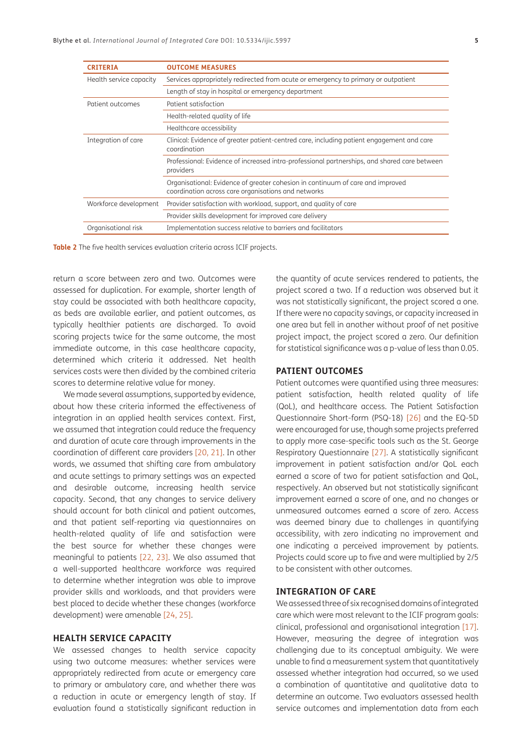| <b>CRITERIA</b>         | <b>OUTCOME MEASURES</b>                                                                                                               |  |  |
|-------------------------|---------------------------------------------------------------------------------------------------------------------------------------|--|--|
| Health service capacity | Services appropriately redirected from acute or emergency to primary or outpatient                                                    |  |  |
|                         | Length of stay in hospital or emergency department                                                                                    |  |  |
| Patient outcomes        | Patient satisfaction                                                                                                                  |  |  |
|                         | Health-related quality of life                                                                                                        |  |  |
|                         | Healthcare accessibility                                                                                                              |  |  |
| Integration of care     | Clinical: Evidence of greater patient-centred care, including patient engagement and care<br>coordination                             |  |  |
|                         | Professional: Evidence of increased intra-professional partnerships, and shared care between<br>providers                             |  |  |
|                         | Organisational: Evidence of greater cohesion in continuum of care and improved<br>coordination across care organisations and networks |  |  |
| Workforce development   | Provider satisfaction with workload, support, and quality of care                                                                     |  |  |
|                         | Provider skills development for improved care delivery                                                                                |  |  |
| Organisational risk     | Implementation success relative to barriers and facilitators                                                                          |  |  |

<span id="page-4-0"></span>**Table 2** The five health services evaluation criteria across ICIF projects.

return a score between zero and two. Outcomes were assessed for duplication. For example, shorter length of stay could be associated with both healthcare capacity, as beds are available earlier, and patient outcomes, as typically healthier patients are discharged. To avoid scoring projects twice for the same outcome, the most immediate outcome, in this case healthcare capacity, determined which criteria it addressed. Net health services costs were then divided by the combined criteria scores to determine relative value for money.

We made several assumptions, supported by evidence, about how these criteria informed the effectiveness of integration in an applied health services context. First, we assumed that integration could reduce the frequency and duration of acute care through improvements in the coordination of different care providers [\[20](#page-12-8), [21](#page-12-9)]. In other words, we assumed that shifting care from ambulatory and acute settings to primary settings was an expected and desirable outcome, increasing health service capacity. Second, that any changes to service delivery should account for both clinical and patient outcomes, and that patient self-reporting via questionnaires on health-related quality of life and satisfaction were the best source for whether these changes were meaningful to patients [22, [23](#page-12-10)]. We also assumed that a well-supported healthcare workforce was required to determine whether integration was able to improve provider skills and workloads, and that providers were best placed to decide whether these changes (workforce development) were amenable [[24](#page-12-11), [25\]](#page-12-12).

#### **HEALTH SERVICE CAPACITY**

We assessed changes to health service capacity using two outcome measures: whether services were appropriately redirected from acute or emergency care to primary or ambulatory care, and whether there was a reduction in acute or emergency length of stay. If evaluation found a statistically significant reduction in the quantity of acute services rendered to patients, the project scored a two. If a reduction was observed but it was not statistically significant, the project scored a one. If there were no capacity savings, or capacity increased in one area but fell in another without proof of net positive project impact, the project scored a zero. Our definition for statistical significance was a p-value of less than 0.05.

## **PATIENT OUTCOMES**

Patient outcomes were quantified using three measures: patient satisfaction, health related quality of life (QoL), and healthcare access. The Patient Satisfaction Questionnaire Short-form (PSQ-18) [[26](#page-12-13)] and the EQ-5D were encouraged for use, though some projects preferred to apply more case-specific tools such as the St. George Respiratory Questionnaire [\[27](#page-12-14)]. A statistically significant improvement in patient satisfaction and/or QoL each earned a score of two for patient satisfaction and QoL, respectively. An observed but not statistically significant improvement earned a score of one, and no changes or unmeasured outcomes earned a score of zero. Access was deemed binary due to challenges in quantifying accessibility, with zero indicating no improvement and one indicating a perceived improvement by patients. Projects could score up to five and were multiplied by 2/5 to be consistent with other outcomes.

## **INTEGRATION OF CARE**

We assessed three of six recognised domains of integrated care which were most relevant to the ICIF program goals: clinical, professional and organisational integration [\[17\]](#page-12-5). However, measuring the degree of integration was challenging due to its conceptual ambiguity. We were unable to find a measurement system that quantitatively assessed whether integration had occurred, so we used a combination of quantitative and qualitative data to determine an outcome. Two evaluators assessed health service outcomes and implementation data from each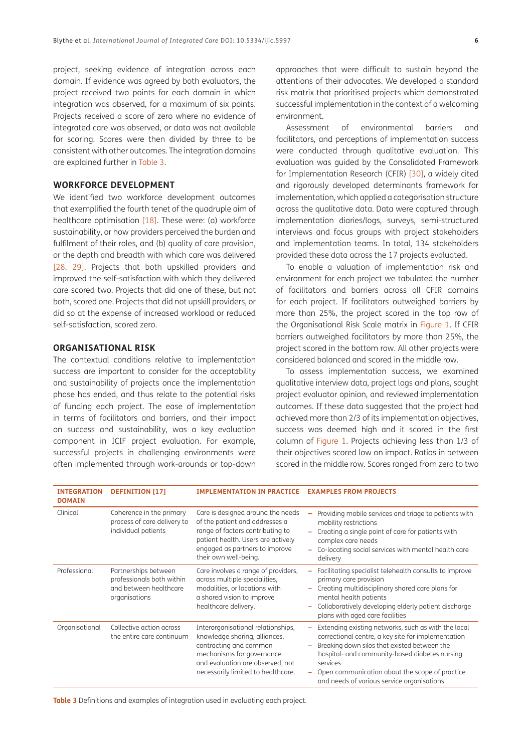project, seeking evidence of integration across each domain. If evidence was agreed by both evaluators, the project received two points for each domain in which integration was observed, for a maximum of six points. Projects received a score of zero where no evidence of integrated care was observed, or data was not available for scoring. Scores were then divided by three to be consistent with other outcomes. The integration domains are explained further in [Table 3.](#page-5-0)

## **WORKFORCE DEVELOPMENT**

We identified two workforce development outcomes that exemplified the fourth tenet of the quadruple aim of healthcare optimisation [\[18\]](#page-12-6). These were: (a) workforce sustainability, or how providers perceived the burden and fulfilment of their roles, and (b) quality of care provision, or the depth and breadth with which care was delivered [\[28,](#page-12-15) [29](#page-12-16)]. Projects that both upskilled providers and improved the self-satisfaction with which they delivered care scored two. Projects that did one of these, but not both, scored one. Projects that did not upskill providers, or did so at the expense of increased workload or reduced self-satisfaction, scored zero.

## **ORGANISATIONAL RISK**

The contextual conditions relative to implementation success are important to consider for the acceptability and sustainability of projects once the implementation phase has ended, and thus relate to the potential risks of funding each project. The ease of implementation in terms of facilitators and barriers, and their impact on success and sustainability, was a key evaluation component in ICIF project evaluation. For example, successful projects in challenging environments were often implemented through work-arounds or top-down approaches that were difficult to sustain beyond the attentions of their advocates. We developed a standard risk matrix that prioritised projects which demonstrated successful implementation in the context of a welcoming environment.

Assessment of environmental barriers and facilitators, and perceptions of implementation success were conducted through qualitative evaluation. This evaluation was guided by the Consolidated Framework for Implementation Research (CFIR) [[30](#page-12-17)], a widely cited and rigorously developed determinants framework for implementation, which applied a categorisation structure across the qualitative data. Data were captured through implementation diaries/logs, surveys, semi-structured interviews and focus groups with project stakeholders and implementation teams. In total, 134 stakeholders provided these data across the 17 projects evaluated.

To enable a valuation of implementation risk and environment for each project we tabulated the number of facilitators and barriers across all CFIR domains for each project. If facilitators outweighed barriers by more than 25%, the project scored in the top row of the Organisational Risk Scale matrix in [Figure 1](#page-6-0). If CFIR barriers outweighed facilitators by more than 25%, the project scored in the bottom row. All other projects were considered balanced and scored in the middle row.

To assess implementation success, we examined qualitative interview data, project logs and plans, sought project evaluator opinion, and reviewed implementation outcomes. If these data suggested that the project had achieved more than 2/3 of its implementation objectives, success was deemed high and it scored in the first column of [Figure 1](#page-6-0). Projects achieving less than 1/3 of their objectives scored low on impact. Ratios in between scored in the middle row. Scores ranged from zero to two

| <b>INTEGRATION</b><br><b>DOMAIN</b> | <b>DEFINITION [17]</b>                                                                       | <b>IMPLEMENTATION IN PRACTICE</b>                                                                                                                                                                        | <b>EXAMPLES FROM PROJECTS</b>                                                                                                                                                                                                                                                                                           |
|-------------------------------------|----------------------------------------------------------------------------------------------|----------------------------------------------------------------------------------------------------------------------------------------------------------------------------------------------------------|-------------------------------------------------------------------------------------------------------------------------------------------------------------------------------------------------------------------------------------------------------------------------------------------------------------------------|
| Clinical                            | Coherence in the primary<br>process of care delivery to<br>individual patients               | Care is designed around the needs<br>of the patient and addresses a<br>range of factors contributing to<br>patient health. Users are actively<br>engaged as partners to improve<br>their own well-being. | Providing mobile services and triage to patients with<br>mobility restrictions<br>Creating a single point of care for patients with<br>complex care needs<br>Co-locating social services with mental health care<br>delivery                                                                                            |
| Professional                        | Partnerships between<br>professionals both within<br>and between healthcare<br>organisations | Care involves a range of providers,<br>across multiple specialities,<br>modalities, or locations with<br>a shared vision to improve<br>healthcare delivery.                                              | Facilitating specialist telehealth consults to improve<br>primary care provision<br>Creating multidisciplinary shared care plans for<br>mental health patients<br>Collaboratively developing elderly patient discharge<br>plans with aged care facilities                                                               |
| Organisational                      | Collective action across<br>the entire care continuum                                        | Interorganisational relationships,<br>knowledge sharing, alliances,<br>contracting and common<br>mechanisms for governance<br>and evaluation are observed, not<br>necessarily limited to healthcare.     | Extending existing networks, such as with the local<br>correctional centre, a key site for implementation<br>Breaking down silos that existed between the<br>hospital- and community-based diabetes nursing<br>services<br>Open communication about the scope of practice<br>and needs of various service organisations |

<span id="page-5-0"></span>**Table 3** Definitions and examples of integration used in evaluating each project.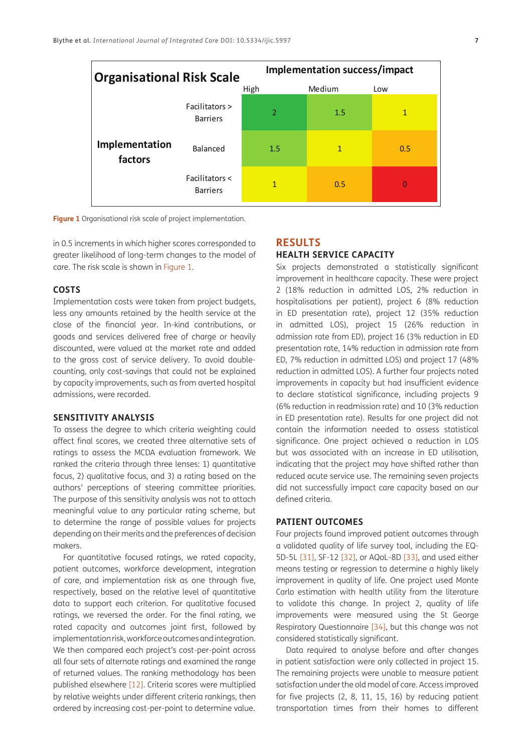| <b>Organisational Risk Scale</b> |                                   | Implementation success/impact |        |     |  |
|----------------------------------|-----------------------------------|-------------------------------|--------|-----|--|
|                                  |                                   | High                          | Medium | Low |  |
|                                  | Facilitators ><br><b>Barriers</b> | $\overline{2}$                | 1.5    | 1   |  |
| Implementation<br>factors        | Balanced                          | 1.5                           | 1      | 0.5 |  |
|                                  | Facilitators <<br><b>Barriers</b> | 1                             | 0.5    | 0   |  |

<span id="page-6-0"></span>**Figure 1** Organisational risk scale of project implementation.

in 0.5 increments in which higher scores corresponded to greater likelihood of long-term changes to the model of care. The risk scale is shown in [Figure 1.](#page-6-0)

## **COSTS**

Implementation costs were taken from project budgets, less any amounts retained by the health service at the close of the financial year. In-kind contributions, or goods and services delivered free of charge or heavily discounted, were valued at the market rate and added to the gross cost of service delivery. To avoid doublecounting, only cost-savings that could not be explained by capacity improvements, such as from averted hospital admissions, were recorded.

## **SENSITIVITY ANALYSIS**

To assess the degree to which criteria weighting could affect final scores, we created three alternative sets of ratings to assess the MCDA evaluation framework. We ranked the criteria through three lenses: 1) quantitative focus, 2) qualitative focus, and 3) a rating based on the authors' perceptions of steering committee priorities. The purpose of this sensitivity analysis was not to attach meaningful value to any particular rating scheme, but to determine the range of possible values for projects depending on their merits and the preferences of decision makers.

For quantitative focused ratings, we rated capacity, patient outcomes, workforce development, integration of care, and implementation risk as one through five, respectively, based on the relative level of quantitative data to support each criterion. For qualitative focused ratings, we reversed the order. For the final rating, we rated capacity and outcomes joint first, followed by implementation risk, workforce outcomes and integration. We then compared each project's cost-per-point across all four sets of alternate ratings and examined the range of returned values. The ranking methodology has been published elsewhere [\[12\]](#page-12-3). Criteria scores were multiplied by relative weights under different criteria rankings, then ordered by increasing cost-per-point to determine value.

## **RESULTS HEALTH SERVICE CAPACITY**

Six projects demonstrated a statistically significant improvement in healthcare capacity. These were project 2 (18% reduction in admitted LOS, 2% reduction in hospitalisations per patient), project 6 (8% reduction in ED presentation rate), project 12 (35% reduction in admitted LOS), project 15 (26% reduction in admission rate from ED), project 16 (3% reduction in ED presentation rate, 14% reduction in admission rate from ED, 7% reduction in admitted LOS) and project 17 (48% reduction in admitted LOS). A further four projects noted improvements in capacity but had insufficient evidence to declare statistical significance, including projects 9 (6% reduction in readmission rate) and 10 (3% reduction in ED presentation rate). Results for one project did not contain the information needed to assess statistical significance. One project achieved a reduction in LOS but was associated with an increase in ED utilisation, indicating that the project may have shifted rather than reduced acute service use. The remaining seven projects did not successfully impact care capacity based on our defined criteria.

## **PATIENT OUTCOMES**

Four projects found improved patient outcomes through a validated quality of life survey tool, including the EQ-5D-5L [\[31\]](#page-12-18), SF-12 [[32\]](#page-13-0), or AQoL-8D [[33\]](#page-13-1), and used either means testing or regression to determine a highly likely improvement in quality of life. One project used Monte Carlo estimation with health utility from the literature to validate this change. In project 2, quality of life improvements were measured using the St George Respiratory Questionnaire [34], but this change was not considered statistically significant.

Data required to analyse before and after changes in patient satisfaction were only collected in project 15. The remaining projects were unable to measure patient satisfaction under the old model of care. Access improved for five projects (2, 8, 11, 15, 16) by reducing patient transportation times from their homes to different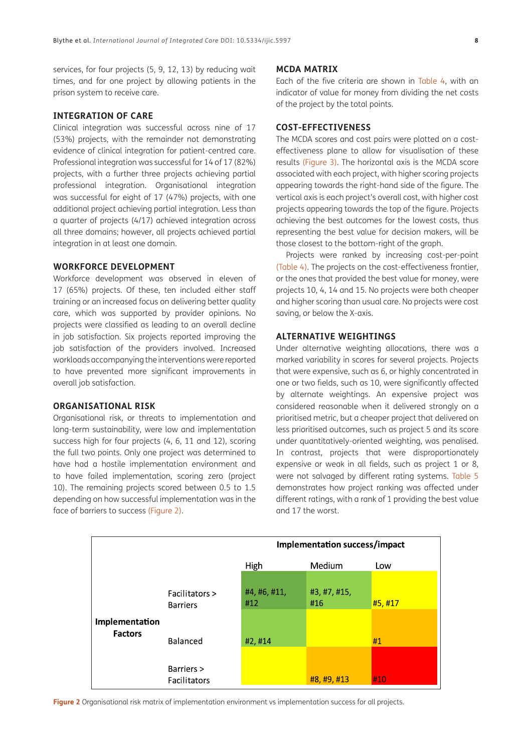services, for four projects (5, 9, 12, 13) by reducing wait times, and for one project by allowing patients in the prison system to receive care.

## **INTEGRATION OF CARE**

Clinical integration was successful across nine of 17 (53%) projects, with the remainder not demonstrating evidence of clinical integration for patient-centred care. Professional integration was successful for 14 of 17 (82%) projects, with a further three projects achieving partial professional integration. Organisational integration was successful for eight of 17 (47%) projects, with one additional project achieving partial integration. Less than a quarter of projects (4/17) achieved integration across all three domains; however, all projects achieved partial integration in at least one domain.

## **WORKFORCE DEVELOPMENT**

Workforce development was observed in eleven of 17 (65%) projects. Of these, ten included either staff training or an increased focus on delivering better quality care, which was supported by provider opinions. No projects were classified as leading to an overall decline in job satisfaction. Six projects reported improving the job satisfaction of the providers involved. Increased workloads accompanying the interventions were reported to have prevented more significant improvements in overall job satisfaction.

## **ORGANISATIONAL RISK**

Organisational risk, or threats to implementation and long-term sustainability, were low and implementation success high for four projects (4, 6, 11 and 12), scoring the full two points. Only one project was determined to have had a hostile implementation environment and to have failed implementation, scoring zero (project 10). The remaining projects scored between 0.5 to 1.5 depending on how successful implementation was in the face of barriers to success ([Figure 2](#page-7-0)).

## **MCDA MATRIX**

Each of the five criteria are shown in [Table 4](#page-8-0), with an indicator of value for money from dividing the net costs of the project by the total points.

## **COST-EFFECTIVENESS**

The MCDA scores and cost pairs were plotted on a costeffectiveness plane to allow for visualisation of these results ([Figure 3](#page-8-1)). The horizontal axis is the MCDA score associated with each project, with higher scoring projects appearing towards the right-hand side of the figure. The vertical axis is each project's overall cost, with higher cost projects appearing towards the top of the figure. Projects achieving the best outcomes for the lowest costs, thus representing the best value for decision makers, will be those closest to the bottom-right of the graph.

Projects were ranked by increasing cost-per-point ([Table 4\)](#page-8-0). The projects on the cost-effectiveness frontier, or the ones that provided the best value for money, were projects 10, 4, 14 and 15. No projects were both cheaper and higher scoring than usual care. No projects were cost saving, or below the X-axis.

## **ALTERNATIVE WEIGHTINGS**

Under alternative weighting allocations, there was a marked variability in scores for several projects. Projects that were expensive, such as 6, or highly concentrated in one or two fields, such as 10, were significantly affected by alternate weightings. An expensive project was considered reasonable when it delivered strongly on a prioritised metric, but a cheaper project that delivered on less prioritised outcomes, such as project 5 and its score under quantitatively-oriented weighting, was penalised. In contrast, projects that were disproportionately expensive or weak in all fields, such as project 1 or 8, were not salvaged by different rating systems. [Table 5](#page-9-0)  demonstrates how project ranking was affected under different ratings, with a rank of 1 providing the best value and 17 the worst.



<span id="page-7-0"></span>**Figure 2** Organisational risk matrix of implementation environment vs implementation success for all projects.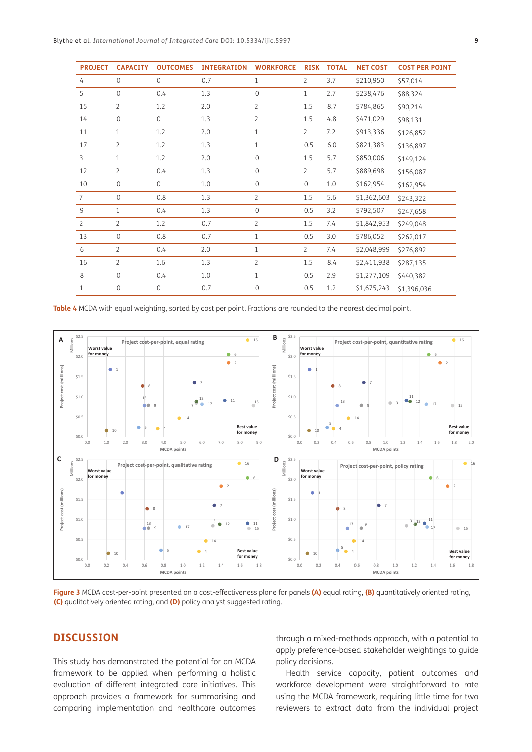| <b>PROJECT</b> | <b>CAPACITY</b> | <b>OUTCOMES</b> | <b>INTEGRATION</b> | <b>WORKFORCE</b> | <b>RISK</b>    | <b>TOTAL</b> | <b>NET COST</b> | <b>COST PER POINT</b> |
|----------------|-----------------|-----------------|--------------------|------------------|----------------|--------------|-----------------|-----------------------|
| $\overline{4}$ | $\mathbf{O}$    | $\overline{0}$  | 0.7                | $\mathbf{1}$     | $\overline{2}$ | 3.7          | \$210,950       | \$57,014              |
| 5              | $\Omega$        | 0.4             | 1.3                | $\mathbf 0$      | $\mathbf{1}$   | 2.7          | \$238,476       | \$88,324              |
| 15             | $\overline{2}$  | 1.2             | 2.0                | $\overline{2}$   | 1.5            | 8.7          | \$784,865       | \$90,214              |
| 14             | $\mathbf{O}$    | $\overline{0}$  | 1.3                | $\overline{2}$   | 1.5            | 4.8          | \$471,029       | \$98,131              |
| 11             | 1               | 1.2             | 2.0                | $\mathbf{1}$     | $\overline{2}$ | 7.2          | \$913,336       | \$126,852             |
| 17             | $\overline{2}$  | 1.2             | 1.3                | $\mathbf{1}$     | 0.5            | 6.0          | \$821,383       | \$136,897             |
| $\overline{3}$ | $\mathbf{1}$    | 1.2             | 2.0                | $\mathbf{O}$     | 1.5            | 5.7          | \$850,006       | \$149,124             |
| 12             | $\overline{2}$  | 0.4             | 1.3                | $\Omega$         | $\overline{2}$ | 5.7          | \$889,698       | \$156,087             |
| 10             | $\mathbf 0$     | $\overline{0}$  | 1.0                | $\mathbf 0$      | $\mathbf{0}$   | 1.0          | \$162,954       | \$162,954             |
| $\overline{7}$ | $\Omega$        | 0.8             | 1.3                | $\overline{2}$   | 1.5            | 5.6          | \$1,362,603     | \$243,322             |
| 9              | $\mathbf{1}$    | 0.4             | 1.3                | $\mathbf 0$      | 0.5            | 3.2          | \$792,507       | \$247,658             |
| $\overline{2}$ | $\overline{2}$  | 1.2             | 0.7                | $\overline{2}$   | 1.5            | 7.4          | \$1,842,953     | \$249,048             |
| 13             | $\mathbf{O}$    | 0.8             | 0.7                | $\mathbf{1}$     | 0.5            | 3.0          | \$786,052       | \$262,017             |
| 6              | $\overline{2}$  | 0.4             | 2.0                | $\mathbf{1}$     | $\overline{2}$ | 7.4          | \$2,048,999     | \$276,892             |
| 16             | $\overline{2}$  | 1.6             | 1.3                | $\overline{2}$   | 1.5            | 8.4          | \$2,411,938     | \$287,135             |
| 8              | $\overline{0}$  | 0.4             | 1.0                | $\mathbf{1}$     | 0.5            | 2.9          | \$1,277,109     | \$440,382             |
| $\mathbf{1}$   | $\mathbf{0}$    | $\overline{0}$  | 0.7                | $\mathbf{O}$     | 0.5            | 1.2          | \$1,675,243     | \$1,396,036           |

<span id="page-8-0"></span>**Table 4** MCDA with equal weighting, sorted by cost per point. Fractions are rounded to the nearest decimal point.



<span id="page-8-1"></span>**Figure 3** MCDA cost-per-point presented on a cost-effectiveness plane for panels **(A)** equal rating, **(B)** quantitatively oriented rating, **(C)** qualitatively oriented rating, and **(D)** policy analyst suggested rating.

## **DISCUSSION**

This study has demonstrated the potential for an MCDA framework to be applied when performing a holistic evaluation of different integrated care initiatives. This approach provides a framework for summarising and comparing implementation and healthcare outcomes

through a mixed-methods approach, with a potential to apply preference-based stakeholder weightings to guide policy decisions.

Health service capacity, patient outcomes and workforce development were straightforward to rate using the MCDA framework, requiring little time for two reviewers to extract data from the individual project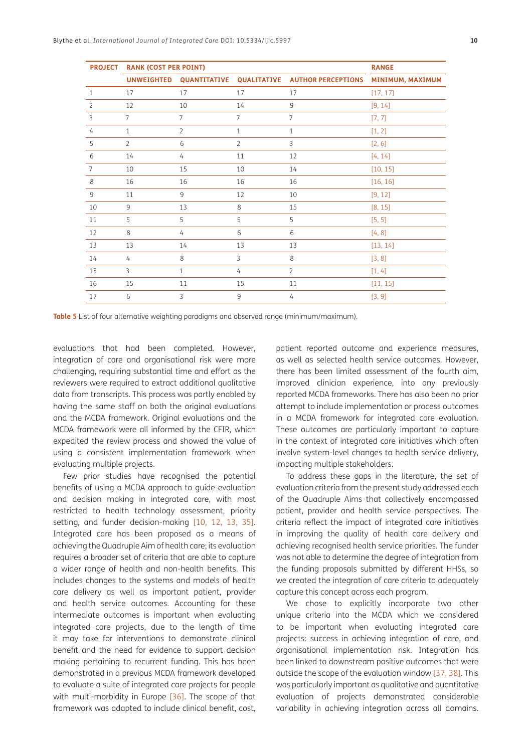| <b>PROJECT</b> | <b>RANK (COST PER POINT)</b> | <b>RANGE</b>            |                |                           |                  |
|----------------|------------------------------|-------------------------|----------------|---------------------------|------------------|
|                |                              | UNWEIGHTED QUANTITATIVE | QUALITATIVE    | <b>AUTHOR PERCEPTIONS</b> | MINIMUM, MAXIMUM |
| $\mathbf{1}$   | 17                           | 17                      | 17             | 17                        | [17, 17]         |
| $\overline{2}$ | 12                           | 10                      | 14             | $\mathsf g$               | [9, 14]          |
| 3              | $\overline{7}$               | $\overline{7}$          | $\overline{7}$ | $\overline{7}$            | [7, 7]           |
| 4              | $\mathbf{1}$                 | $\overline{2}$          | $\mathbf{1}$   | $\mathbf{1}$              | [1, 2]           |
| 5              | $\overline{2}$               | 6                       | $\overline{2}$ | $\overline{3}$            | [2, 6]           |
| 6              | 14                           | 4                       | 11             | 12                        | [4, 14]          |
| $\overline{7}$ | 10                           | 15                      | 10             | 14                        | [10, 15]         |
| 8              | 16                           | 16                      | 16             | 16                        | [16, 16]         |
| 9              | 11                           | 9                       | 12             | 10                        | [9, 12]          |
| 10             | 9                            | 13                      | 8              | 15                        | [8, 15]          |
| 11             | 5                            | 5                       | 5              | 5                         | [5, 5]           |
| 12             | 8                            | 4                       | 6              | 6                         | [4, 8]           |
| 13             | 13                           | 14                      | 13             | 13                        | [13, 14]         |
| 14             | 4                            | 8                       | $\overline{3}$ | 8                         | [3, 8]           |
| 15             | $\overline{3}$               | $\mathbf{1}$            | $\overline{4}$ | $\overline{2}$            | [1, 4]           |
| 16             | 15                           | 11                      | 15             | 11                        | [11, 15]         |
| 17             | 6                            | $\overline{3}$          | 9              | 4                         | [3, 9]           |

<span id="page-9-0"></span>**Table 5** List of four alternative weighting paradigms and observed range (minimum/maximum).

evaluations that had been completed. However, integration of care and organisational risk were more challenging, requiring substantial time and effort as the reviewers were required to extract additional qualitative data from transcripts. This process was partly enabled by having the same staff on both the original evaluations and the MCDA framework. Original evaluations and the MCDA framework were all informed by the CFIR, which expedited the review process and showed the value of using a consistent implementation framework when evaluating multiple projects.

Few prior studies have recognised the potential benefits of using a MCDA approach to guide evaluation and decision making in integrated care, with most restricted to health technology assessment, priority setting, and funder decision-making [\[10,](#page-12-1) [12,](#page-12-3) [13,](#page-12-19) [35](#page-13-2)]. Integrated care has been proposed as a means of achieving the Quadruple Aim of health care; its evaluation requires a broader set of criteria that are able to capture a wider range of health and non-health benefits. This includes changes to the systems and models of health care delivery as well as important patient, provider and health service outcomes. Accounting for these intermediate outcomes is important when evaluating integrated care projects, due to the length of time it may take for interventions to demonstrate clinical benefit and the need for evidence to support decision making pertaining to recurrent funding. This has been demonstrated in a previous MCDA framework developed to evaluate a suite of integrated care projects for people with multi-morbidity in Europe [[36](#page-13-3)]. The scope of that framework was adapted to include clinical benefit, cost,

patient reported outcome and experience measures, as well as selected health service outcomes. However, there has been limited assessment of the fourth aim, improved clinician experience, into any previously reported MCDA frameworks. There has also been no prior attempt to include implementation or process outcomes in a MCDA framework for integrated care evaluation. These outcomes are particularly important to capture in the context of integrated care initiatives which often involve system-level changes to health service delivery, impacting multiple stakeholders.

To address these gaps in the literature, the set of evaluation criteria from the present study addressed each of the Quadruple Aims that collectively encompassed patient, provider and health service perspectives. The criteria reflect the impact of integrated care initiatives in improving the quality of health care delivery and achieving recognised health service priorities. The funder was not able to determine the degree of integration from the funding proposals submitted by different HHSs, so we created the integration of care criteria to adequately capture this concept across each program.

We chose to explicitly incorporate two other unique criteria into the MCDA which we considered to be important when evaluating integrated care projects: success in achieving integration of care, and organisational implementation risk. Integration has been linked to downstream positive outcomes that were outside the scope of the evaluation window [[37](#page-13-4), [38\]](#page-13-5). This was particularly important as qualitative and quantitative evaluation of projects demonstrated considerable variability in achieving integration across all domains.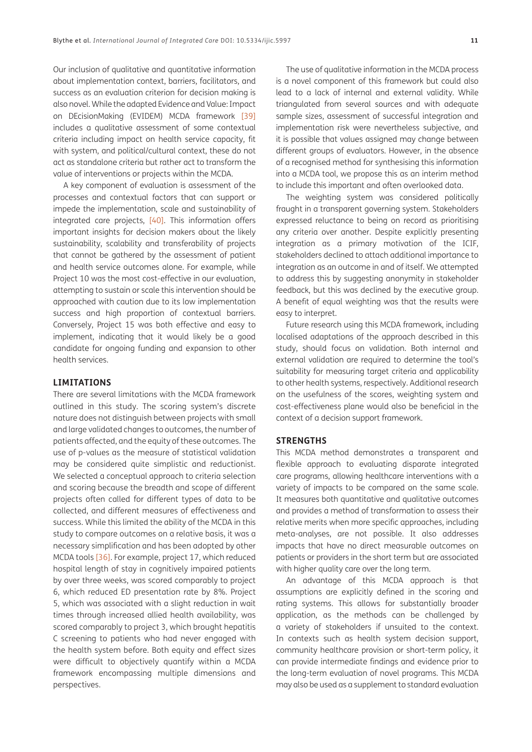Our inclusion of qualitative and quantitative information about implementation context, barriers, facilitators, and success as an evaluation criterion for decision making is also novel. While the adapted Evidence and Value: Impact on DEcisionMaking (EVIDEM) MCDA framework [[39](#page-13-6)] includes a qualitative assessment of some contextual criteria including impact on health service capacity, fit with system, and political/cultural context, these do not act as standalone criteria but rather act to transform the value of interventions or projects within the MCDA.

A key component of evaluation is assessment of the processes and contextual factors that can support or impede the implementation, scale and sustainability of integrated care projects, [\[40](#page-13-7)]. This information offers important insights for decision makers about the likely sustainability, scalability and transferability of projects that cannot be gathered by the assessment of patient and health service outcomes alone. For example, while Project 10 was the most cost-effective in our evaluation, attempting to sustain or scale this intervention should be approached with caution due to its low implementation success and high proportion of contextual barriers. Conversely, Project 15 was both effective and easy to implement, indicating that it would likely be a good candidate for ongoing funding and expansion to other health services.

## **LIMITATIONS**

There are several limitations with the MCDA framework outlined in this study. The scoring system's discrete nature does not distinguish between projects with small and large validated changes to outcomes, the number of patients affected, and the equity of these outcomes. The use of p-values as the measure of statistical validation may be considered quite simplistic and reductionist. We selected a conceptual approach to criteria selection and scoring because the breadth and scope of different projects often called for different types of data to be collected, and different measures of effectiveness and success. While this limited the ability of the MCDA in this study to compare outcomes on a relative basis, it was a necessary simplification and has been adopted by other MCDA tools [\[36\]](#page-13-3). For example, project 17, which reduced hospital length of stay in cognitively impaired patients by over three weeks, was scored comparably to project 6, which reduced ED presentation rate by 8%. Project 5, which was associated with a slight reduction in wait times through increased allied health availability, was scored comparably to project 3, which brought hepatitis C screening to patients who had never engaged with the health system before. Both equity and effect sizes were difficult to objectively quantify within a MCDA framework encompassing multiple dimensions and perspectives.

The use of qualitative information in the MCDA process is a novel component of this framework but could also lead to a lack of internal and external validity. While triangulated from several sources and with adequate sample sizes, assessment of successful integration and implementation risk were nevertheless subjective, and it is possible that values assigned may change between different groups of evaluators. However, in the absence of a recognised method for synthesising this information into a MCDA tool, we propose this as an interim method to include this important and often overlooked data.

The weighting system was considered politically fraught in a transparent governing system. Stakeholders expressed reluctance to being on record as prioritising any criteria over another. Despite explicitly presenting integration as a primary motivation of the ICIF, stakeholders declined to attach additional importance to integration as an outcome in and of itself. We attempted to address this by suggesting anonymity in stakeholder feedback, but this was declined by the executive group. A benefit of equal weighting was that the results were easy to interpret.

Future research using this MCDA framework, including localised adaptations of the approach described in this study, should focus on validation. Both internal and external validation are required to determine the tool's suitability for measuring target criteria and applicability to other health systems, respectively. Additional research on the usefulness of the scores, weighting system and cost-effectiveness plane would also be beneficial in the context of a decision support framework.

#### **STRENGTHS**

This MCDA method demonstrates a transparent and flexible approach to evaluating disparate integrated care programs, allowing healthcare interventions with a variety of impacts to be compared on the same scale. It measures both quantitative and qualitative outcomes and provides a method of transformation to assess their relative merits when more specific approaches, including meta-analyses, are not possible. It also addresses impacts that have no direct measurable outcomes on patients or providers in the short term but are associated with higher quality care over the long term.

An advantage of this MCDA approach is that assumptions are explicitly defined in the scoring and rating systems. This allows for substantially broader application, as the methods can be challenged by a variety of stakeholders if unsuited to the context. In contexts such as health system decision support, community healthcare provision or short-term policy, it can provide intermediate findings and evidence prior to the long-term evaluation of novel programs. This MCDA may also be used as a supplement to standard evaluation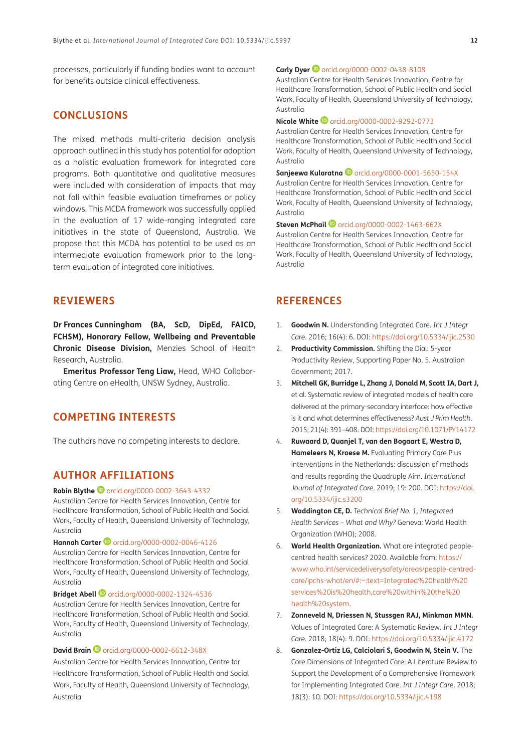processes, particularly if funding bodies want to account for benefits outside clinical effectiveness.

## **CONCLUSIONS**

The mixed methods multi-criteria decision analysis approach outlined in this study has potential for adoption as a holistic evaluation framework for integrated care programs. Both quantitative and qualitative measures were included with consideration of impacts that may not fall within feasible evaluation timeframes or policy windows. This MCDA framework was successfully applied in the evaluation of 17 wide-ranging integrated care initiatives in the state of Queensland, Australia. We propose that this MCDA has potential to be used as an intermediate evaluation framework prior to the longterm evaluation of integrated care initiatives.

## **REVIEWERS**

**Dr Frances Cunningham (BA, ScD, DipEd, FAICD, FCHSM), Honorary Fellow, Wellbeing and Preventable Chronic Disease Division,** Menzies School of Health Research, Australia.

**Emeritus Professor Teng Liaw,** Head, WHO Collaborating Centre on eHealth, UNSW Sydney, Australia.

## **COMPETING INTERESTS**

The authors have no competing interests to declare.

## <span id="page-11-0"></span>**AUTHOR AFFILIATIONS**

#### **Robin Blythe**[orcid.org/0000-0002-3643-4332](https://orcid.org/0000-0002-3643-4332)

Australian Centre for Health Services Innovation, Centre for Healthcare Transformation, School of Public Health and Social Work, Faculty of Health, Queensland University of Technology, Australia

## **Hannah Carter <sup>1</sup>** [orcid.org/0000-0002-0046-4126](https://orcid.org/0000-0002-0046-4126)

Australian Centre for Health Services Innovation, Centre for Healthcare Transformation, School of Public Health and Social Work, Faculty of Health, Queensland University of Technology, Australia

#### **Bridget Abell <sup>1</sup>** [orcid.org/0000-0002-1324-4536](https://orcid.org/0000-0002-1324-4536)

Australian Centre for Health Services Innovation, Centre for Healthcare Transformation, School of Public Health and Social Work, Faculty of Health, Queensland University of Technology, Australia

## **DavidBrain D** [orcid.org/0000-0002-6612-348X](https://orcid.org/0000-0002-6612-348X)

Australian Centre for Health Services Innovation, Centre for Healthcare Transformation, School of Public Health and Social Work, Faculty of Health, Queensland University of Technology, Australia

#### **CarlyDyer D** [orcid.org/0000-0002-0438-8108](https://orcid.org/0000-0002-0438-8108)

Australian Centre for Health Services Innovation, Centre for Healthcare Transformation, School of Public Health and Social Work, Faculty of Health, Queensland University of Technology, Australia

#### **Nicole White ©** [orcid.org/0000-0002-9292-0773](https://orcid.org/0000-0002-9292-0773)

Australian Centre for Health Services Innovation, Centre for Healthcare Transformation, School of Public Health and Social Work, Faculty of Health, Queensland University of Technology, Australia

**Sanjeewa Kularatna D** [orcid.org/0000-0001-5650-154X](https://orcid.org/0000-0001-5650-154X)

Australian Centre for Health Services Innovation, Centre for Healthcare Transformation, School of Public Health and Social Work, Faculty of Health, Queensland University of Technology, Australia

#### **Steven McPhail**[orcid.org/0000-0002-1463-662X](https://orcid.org/0000-0002-1463-662X)

Australian Centre for Health Services Innovation, Centre for Healthcare Transformation, School of Public Health and Social Work, Faculty of Health, Queensland University of Technology, Australia

## **REFERENCES**

- <span id="page-11-1"></span>1. **Goodwin N.** Understanding Integrated Care. *Int J Integr Care*. 2016; 16(4): 6. DOI: <https://doi.org/10.5334/ijic.2530>
- <span id="page-11-2"></span>2. **Productivity Commission.** Shifting the Dial: 5-year Productivity Review, Supporting Paper No. 5. Australian Government; 2017.
- <span id="page-11-3"></span>3. **Mitchell GK, Burridge L, Zhang J, Donald M, Scott IA, Dart J,**  et al. Systematic review of integrated models of health care delivered at the primary-secondary interface: how effective is it and what determines effectiveness? *Aust J Prim Health*. 2015; 21(4): 391–408. DOI:<https://doi.org/10.1071/PY14172>
- <span id="page-11-4"></span>4. **Ruwaard D, Quanjel T, van den Bogaart E, Westra D, Hameleers N, Kroese M.** Evaluating Primary Care Plus interventions in the Netherlands: discussion of methods and results regarding the Quadruple Aim. *International Journal of Integrated Care*. 2019; 19: 200. DOI: [https://doi.](https://doi.org/10.5334/ijic.s3200) [org/10.5334/ijic.s3200](https://doi.org/10.5334/ijic.s3200)
- <span id="page-11-5"></span>5. **Waddington CE, D.** *Technical Brief No. 1, Integrated Health Services – What and Why?* Geneva: World Health Organization (WHO); 2008.
- <span id="page-11-6"></span>6. **World Health Organization.** What are integrated peoplecentred health services? 2020. Available from: [https://](https://www.who.int/servicedeliverysafety/areas/people-centred-care/ipchs-what/en/#:~:text=Integrated%20health%20services%20is%20health,care%20within%20the%20health%20system) [www.who.int/servicedeliverysafety/areas/people-centred](https://www.who.int/servicedeliverysafety/areas/people-centred-care/ipchs-what/en/#:~:text=Integrated%20health%20services%20is%20health,care%20within%20the%20health%20system)[care/ipchs-what/en/#:~:text=Integrated%20health%20](https://www.who.int/servicedeliverysafety/areas/people-centred-care/ipchs-what/en/#:~:text=Integrated%20health%20services%20is%20health,care%20within%20the%20health%20system) [services%20is%20health,care%20within%20the%20](https://www.who.int/servicedeliverysafety/areas/people-centred-care/ipchs-what/en/#:~:text=Integrated%20health%20services%20is%20health,care%20within%20the%20health%20system) [health%20system.](https://www.who.int/servicedeliverysafety/areas/people-centred-care/ipchs-what/en/#:~:text=Integrated%20health%20services%20is%20health,care%20within%20the%20health%20system)
- <span id="page-11-7"></span>7. **Zonneveld N, Driessen N, Stussgen RAJ, Minkman MMN.**  Values of Integrated Care: A Systematic Review. *Int J Integr Care*. 2018; 18(4): 9. DOI:<https://doi.org/10.5334/ijic.4172>
- <span id="page-11-8"></span>8. **Gonzalez-Ortiz LG, Calciolari S, Goodwin N, Stein V.** The Core Dimensions of Integrated Care: A Literature Review to Support the Development of a Comprehensive Framework for Implementing Integrated Care. *Int J Integr Care*. 2018; 18(3): 10. DOI: <https://doi.org/10.5334/ijic.4198>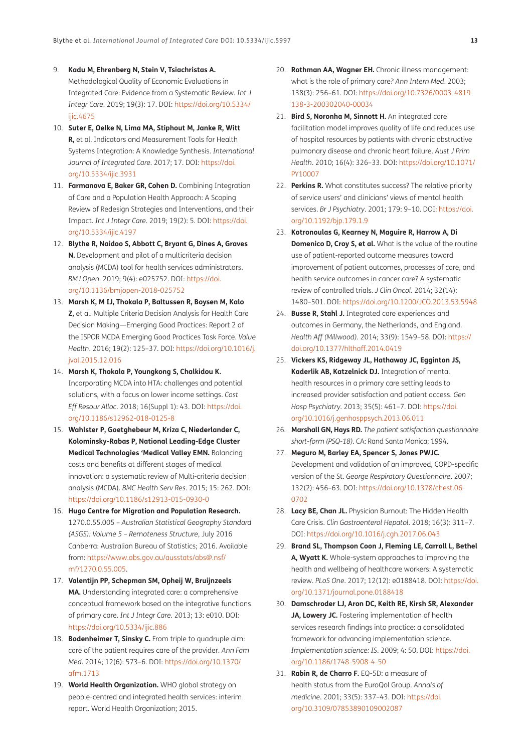- <span id="page-12-0"></span>9. **Kadu M, Ehrenberg N, Stein V, Tsiachristas A.**  Methodological Quality of Economic Evaluations in Integrated Care: Evidence from a Systematic Review. *Int J Integr Care*. 2019; 19(3): 17. DOI: [https://doi.org/10.5334/](https://doi.org/10.5334/ijic.4675) [ijic.4675](https://doi.org/10.5334/ijic.4675)
- <span id="page-12-1"></span>10. **Suter E, Oelke N, Lima MA, Stiphout M, Janke R, Witt R,** et al. Indicators and Measurement Tools for Health Systems Integration: A Knowledge Synthesis. *International Journal of Integrated Care*. 2017; 17. DOI: [https://doi.](https://doi.org/10.5334/ijic.3931) [org/10.5334/ijic.3931](https://doi.org/10.5334/ijic.3931)
- <span id="page-12-2"></span>11. **Farmanova E, Baker GR, Cohen D.** Combining Integration of Care and a Population Health Approach: A Scoping Review of Redesign Strategies and Interventions, and their Impact. *Int J Integr Care*. 2019; 19(2): 5. DOI: [https://doi.](https://doi.org/10.5334/ijic.4197) [org/10.5334/ijic.4197](https://doi.org/10.5334/ijic.4197)
- <span id="page-12-3"></span>12. **Blythe R, Naidoo S, Abbott C, Bryant G, Dines A, Graves N.** Development and pilot of a multicriteria decision analysis (MCDA) tool for health services administrators. *BMJ Open*. 2019; 9(4): e025752. DOI: [https://doi.](https://doi.org/10.1136/bmjopen-2018-025752) [org/10.1136/bmjopen-2018-025752](https://doi.org/10.1136/bmjopen-2018-025752)
- <span id="page-12-19"></span>13. **Marsh K, M IJ, Thokala P, Baltussen R, Boysen M, Kalo Z,** et al. Multiple Criteria Decision Analysis for Health Care Decision Making—Emerging Good Practices: Report 2 of the ISPOR MCDA Emerging Good Practices Task Force. *Value Health*. 2016; 19(2): 125–37. DOI: [https://doi.org/10.1016/j.](https://doi.org/10.1016/j.jval.2015.12.016) [jval.2015.12.016](https://doi.org/10.1016/j.jval.2015.12.016)
- <span id="page-12-20"></span>14. **Marsh K, Thokala P, Youngkong S, Chalkidou K.**  Incorporating MCDA into HTA: challenges and potential solutions, with a focus on lower income settings. *Cost Eff Resour Alloc*. 2018; 16(Suppl 1): 43. DOI: [https://doi.](https://doi.org/10.1186/s12962-018-0125-8) [org/10.1186/s12962-018-0125-8](https://doi.org/10.1186/s12962-018-0125-8)
- <span id="page-12-21"></span>15. **Wahlster P, Goetghebeur M, Kriza C, Niederlander C, Kolominsky-Rabas P, National Leading-Edge Cluster Medical Technologies 'Medical Valley EMN.** Balancing costs and benefits at different stages of medical innovation: a systematic review of Multi-criteria decision analysis (MCDA). *BMC Health Serv Res*. 2015; 15: 262. DOI: <https://doi.org/10.1186/s12913-015-0930-0>
- <span id="page-12-4"></span>16. **Hugo Centre for Migration and Population Research.**  1270.0.55.005 – *Australian Statistical Geography Standard (ASGS): Volume 5 – Remoteness Structure*, July 2016 Canberra: Australian Bureau of Statistics; 2016. Available from: [https://www.abs.gov.au/ausstats/abs@.nsf/](https://www.abs.gov.au/ausstats/abs@.nsf/mf/1270.0.55.005) [mf/1270.0.55.005.](https://www.abs.gov.au/ausstats/abs@.nsf/mf/1270.0.55.005)
- <span id="page-12-5"></span>17. **Valentijn PP, Schepman SM, Opheij W, Bruijnzeels MA.** Understanding integrated care: a comprehensive conceptual framework based on the integrative functions of primary care. *Int J Integr Care*. 2013; 13: e010. DOI: <https://doi.org/10.5334/ijic.886>
- <span id="page-12-6"></span>18. **Bodenheimer T, Sinsky C.** From triple to quadruple aim: care of the patient requires care of the provider. *Ann Fam Med*. 2014; 12(6): 573–6. DOI: [https://doi.org/10.1370/](https://doi.org/10.1370/afm.1713) [afm.1713](https://doi.org/10.1370/afm.1713)
- <span id="page-12-7"></span>19. **World Health Organization.** WHO global strategy on people-centred and integrated health services: interim report. World Health Organization; 2015.
- <span id="page-12-8"></span>20. **Rothman AA, Wagner EH.** Chronic illness management: what is the role of primary care? *Ann Intern Med*. 2003; 138(3): 256–61. DOI: [https://doi.org/10.7326/0003-4819-](https://doi.org/10.7326/0003-4819-138-3-200302040-00034) [138-3-200302040-00034](https://doi.org/10.7326/0003-4819-138-3-200302040-00034)
- <span id="page-12-9"></span>21. **Bird S, Noronha M, Sinnott H.** An integrated care facilitation model improves quality of life and reduces use of hospital resources by patients with chronic obstructive pulmonary disease and chronic heart failure. *Aust J Prim Health*. 2010; 16(4): 326–33. DOI: [https://doi.org/10.1071/](https://doi.org/10.1071/PY10007) [PY10007](https://doi.org/10.1071/PY10007)
- 22. **Perkins R.** What constitutes success? The relative priority of service users' and clinicians' views of mental health services. *Br J Psychiatry*. 2001; 179: 9–10. DOI: [https://doi.](https://doi.org/10.1192/bjp.179.1.9) [org/10.1192/bjp.179.1.9](https://doi.org/10.1192/bjp.179.1.9)
- <span id="page-12-10"></span>23. **Kotronoulas G, Kearney N, Maguire R, Harrow A, Di Domenico D, Croy S, et al.** What is the value of the routine use of patient-reported outcome measures toward improvement of patient outcomes, processes of care, and health service outcomes in cancer care? A systematic review of controlled trials. *J Clin Oncol*. 2014; 32(14): 1480–501. DOI: <https://doi.org/10.1200/JCO.2013.53.5948>
- <span id="page-12-11"></span>24. **Busse R, Stahl J.** Integrated care experiences and outcomes in Germany, the Netherlands, and England. *Health Aff (Millwood)*. 2014; 33(9): 1549–58. DOI: [https://](https://doi.org/10.1377/hlthaff.2014.0419) [doi.org/10.1377/hlthaff.2014.0419](https://doi.org/10.1377/hlthaff.2014.0419)
- <span id="page-12-12"></span>25. **Vickers KS, Ridgeway JL, Hathaway JC, Egginton JS, Kaderlik AB, Katzelnick DJ.** Integration of mental health resources in a primary care setting leads to increased provider satisfaction and patient access. *Gen Hosp Psychiatry*. 2013; 35(5): 461–7. DOI: [https://doi.](https://doi.org/10.1016/j.genhosppsych.2013.06.011) [org/10.1016/j.genhosppsych.2013.06.011](https://doi.org/10.1016/j.genhosppsych.2013.06.011)
- <span id="page-12-13"></span>26. **Marshall GN, Hays RD.** *The patient satisfaction questionnaire short-form (PSQ-18)*. CA: Rand Santa Monica; 1994.
- <span id="page-12-14"></span>27. **Meguro M, Barley EA, Spencer S, Jones PWJC.**  Development and validation of an improved, COPD-specific version of the St. *George Respiratory Questionnaire*. 2007; 132(2): 456–63. DOI: [https://doi.org/10.1378/chest.06-](https://doi.org/10.1378/chest.06-0702) [0702](https://doi.org/10.1378/chest.06-0702)
- <span id="page-12-15"></span>28. **Lacy BE, Chan JL.** Physician Burnout: The Hidden Health Care Crisis. *Clin Gastroenterol Hepatol*. 2018; 16(3): 311–7. DOI: <https://doi.org/10.1016/j.cgh.2017.06.043>
- <span id="page-12-16"></span>29. **Brand SL, Thompson Coon J, Fleming LE, Carroll L, Bethel A, Wyatt K.** Whole-system approaches to improving the health and wellbeing of healthcare workers: A systematic review. *PLoS One*. 2017; 12(12): e0188418. DOI: [https://doi.](https://doi.org/10.1371/journal.pone.0188418) [org/10.1371/journal.pone.0188418](https://doi.org/10.1371/journal.pone.0188418)
- <span id="page-12-17"></span>30. **Damschroder LJ, Aron DC, Keith RE, Kirsh SR, Alexander**  JA, Lowery JC. Fostering implementation of health services research findings into practice: a consolidated framework for advancing implementation science. *Implementation science: IS*. 2009; 4: 50. DOI: [https://doi.](https://doi.org/10.1186/1748-5908-4-50) [org/10.1186/1748-5908-4-50](https://doi.org/10.1186/1748-5908-4-50)
- <span id="page-12-18"></span>31. **Rabin R, de Charro F.** EQ-5D: a measure of health status from the EuroQol Group. *Annals of medicine*. 2001; 33(5): 337–43. DOI: [https://doi.](https://doi.org/10.3109/07853890109002087) [org/10.3109/07853890109002087](https://doi.org/10.3109/07853890109002087)